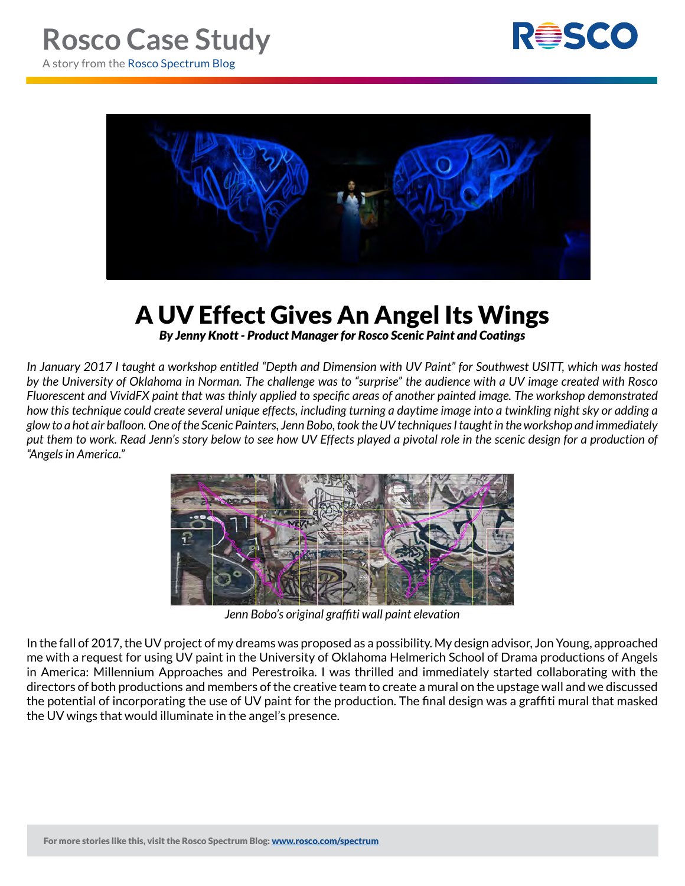



## A UV Effect Gives An Angel Its Wings *By Jenny Knott - Product Manager for Rosco Scenic Paint and Coatings*

*In January 2017 I taught a workshop entitled "Depth and Dimension with UV Paint" for Southwest USITT, which was hosted by the University of Oklahoma in Norman. The challenge was to "surprise" the audience with a UV image created with Rosco Fluorescent and VividFX paint that was thinly applied to specific areas of another painted image. The workshop demonstrated how this technique could create several unique effects, including turning a daytime image into a twinkling night sky or adding a glow to a hot air balloon. One of the Scenic Painters, Jenn Bobo, took the UV techniques I taught in the workshop and immediately put them to work. Read Jenn's story below to see how UV Effects played a pivotal role in the scenic design for a production of "Angels in America."*



*Jenn Bobo's original graffiti wall paint elevation*

In the fall of 2017, the UV project of my dreams was proposed as a possibility. My design advisor, Jon Young, approached me with a request for using UV paint in the University of Oklahoma Helmerich School of Drama productions of Angels in America: Millennium Approaches and Perestroika. I was thrilled and immediately started collaborating with the directors of both productions and members of the creative team to create a mural on the upstage wall and we discussed the potential of incorporating the use of UV paint for the production. The final design was a graffiti mural that masked the UV wings that would illuminate in the angel's presence.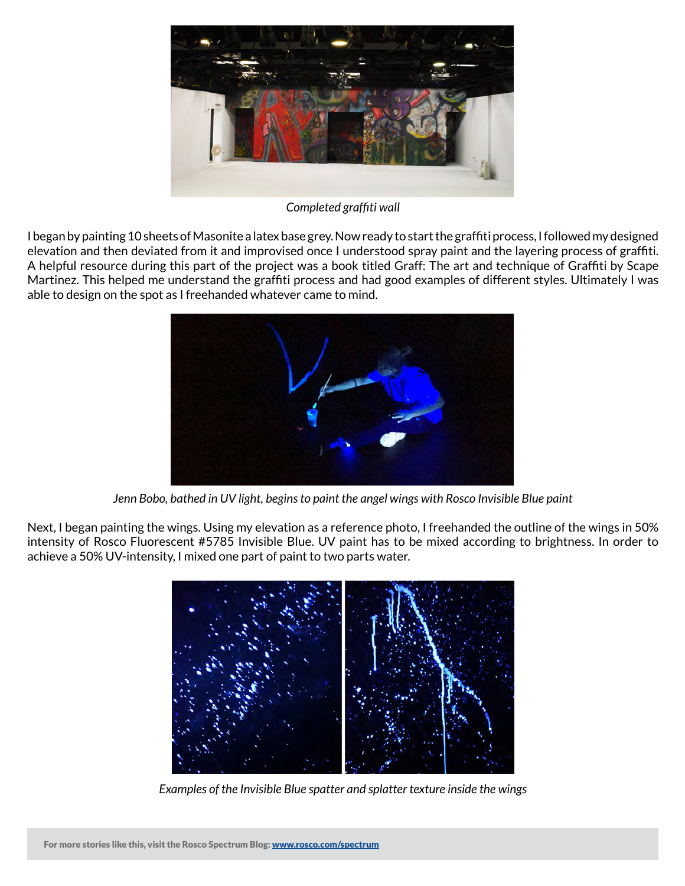

*Completed graffiti wall*

I began by painting 10 sheets of Masonite a latex base grey. Now ready to start the graffiti process, I followed my designed elevation and then deviated from it and improvised once I understood spray paint and the layering process of graffiti. A helpful resource during this part of the project was a book titled Graff: The art and technique of Graffiti by Scape Martinez. This helped me understand the graffiti process and had good examples of different styles. Ultimately I was able to design on the spot as I freehanded whatever came to mind.



*Jenn Bobo, bathed in UV light, begins to paint the angel wings with Rosco Invisible Blue paint*

Next, I began painting the wings. Using my elevation as a reference photo, I freehanded the outline of the wings in 50% intensity of Rosco Fluorescent #5785 Invisible Blue. UV paint has to be mixed according to brightness. In order to achieve a 50% UV-intensity, I mixed one part of paint to two parts water.



*Examples of the Invisible Blue spatter and splatter texture inside the wings*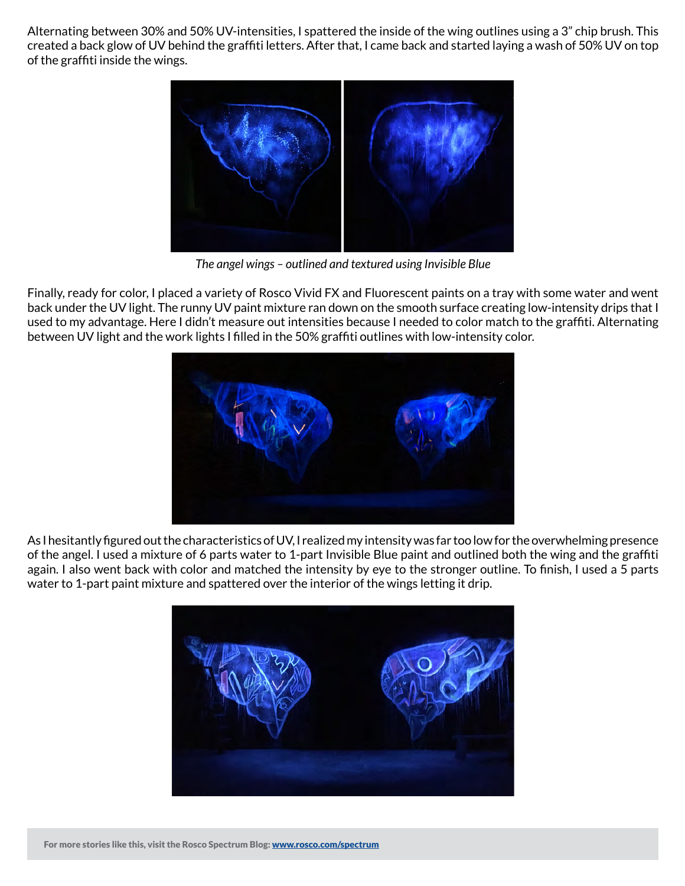Alternating between 30% and 50% UV-intensities, I spattered the inside of the wing outlines using a 3" chip brush. This created a back glow of UV behind the graffiti letters. After that, I came back and started laying a wash of 50% UV on top of the graffiti inside the wings.



*The angel wings – outlined and textured using Invisible Blue*

Finally, ready for color, I placed a variety of Rosco Vivid FX and Fluorescent paints on a tray with some water and went back under the UV light. The runny UV paint mixture ran down on the smooth surface creating low-intensity drips that I used to my advantage. Here I didn't measure out intensities because I needed to color match to the graffiti. Alternating between UV light and the work lights I filled in the 50% graffiti outlines with low-intensity color.



As I hesitantly figured out the characteristics of UV, I realized my intensity was far too low for the overwhelming presence of the angel. I used a mixture of 6 parts water to 1-part Invisible Blue paint and outlined both the wing and the graffiti again. I also went back with color and matched the intensity by eye to the stronger outline. To finish, I used a 5 parts water to 1-part paint mixture and spattered over the interior of the wings letting it drip.